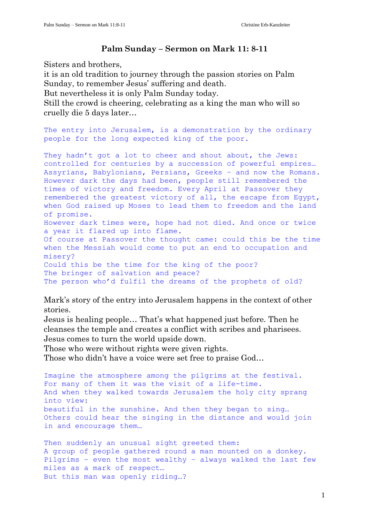## Palm Sunday – Sermon on Mark 11: 8-11

Sisters and brothers,

it is an old tradition to journey through the passion stories on Palm Sunday, to remember Jesus' suffering and death.

But nevertheless it is only Palm Sunday today.

Still the crowd is cheering, celebrating as a king the man who will so cruelly die 5 days later…

The entry into Jerusalem, is a demonstration by the ordinary people for the long expected king of the poor.

They hadn't got a lot to cheer and shout about, the Jews: controlled for centuries by a succession of powerful empires… Assyrians, Babylonians, Persians, Greeks – and now the Romans. However dark the days had been, people still remembered the times of victory and freedom. Every April at Passover they remembered the greatest victory of all, the escape from Egypt, when God raised up Moses to lead them to freedom and the land of promise. However dark times were, hope had not died. And once or twice a year it flared up into flame. Of course at Passover the thought came: could this be the time when the Messiah would come to put an end to occupation and misery? Could this be the time for the king of the poor? The bringer of salvation and peace? The person who'd fulfil the dreams of the prophets of old?

Mark's story of the entry into Jerusalem happens in the context of other stories.

Jesus is healing people… That's what happened just before. Then he cleanses the temple and creates a conflict with scribes and pharisees. Jesus comes to turn the world upside down.

Those who were without rights were given rights.

Those who didn't have a voice were set free to praise God…

Imagine the atmosphere among the pilgrims at the festival. For many of them it was the visit of a life-time. And when they walked towards Jerusalem the holy city sprang into view: beautiful in the sunshine. And then they began to sing… Others could hear the singing in the distance and would join in and encourage them…

Then suddenly an unusual sight greeted them: A group of people gathered round a man mounted on a donkey. Pilgrims – even the most wealthy – always walked the last few miles as a mark of respect… But this man was openly riding…?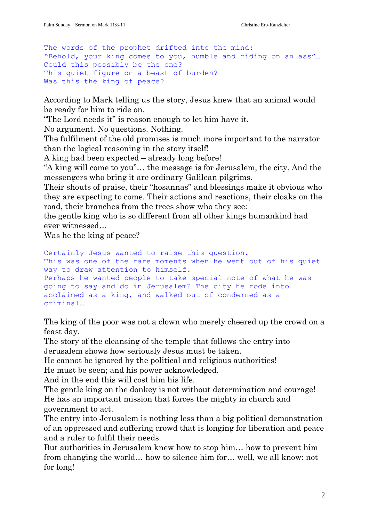The words of the prophet drifted into the mind: "Behold, your king comes to you, humble and riding on an ass"… Could this possibly be the one? This quiet figure on a beast of burden? Was this the king of peace?

According to Mark telling us the story, Jesus knew that an animal would be ready for him to ride on.

"The Lord needs it" is reason enough to let him have it.

No argument. No questions. Nothing.

The fulfilment of the old promises is much more important to the narrator than the logical reasoning in the story itself!

A king had been expected – already long before!

"A king will come to you"… the message is for Jerusalem, the city. And the messengers who bring it are ordinary Galilean pilgrims.

Their shouts of praise, their "hosannas" and blessings make it obvious who they are expecting to come. Their actions and reactions, their cloaks on the road, their branches from the trees show who they see:

the gentle king who is so different from all other kings humankind had ever witnessed…

Was he the king of peace?

Certainly Jesus wanted to raise this question. This was one of the rare moments when he went out of his quiet way to draw attention to himself. Perhaps he wanted people to take special note of what he was going to say and do in Jerusalem? The city he rode into acclaimed as a king, and walked out of condemned as a criminal…

The king of the poor was not a clown who merely cheered up the crowd on a feast day.

The story of the cleansing of the temple that follows the entry into Jerusalem shows how seriously Jesus must be taken.

He cannot be ignored by the political and religious authorities!

He must be seen; and his power acknowledged.

And in the end this will cost him his life.

The gentle king on the donkey is not without determination and courage! He has an important mission that forces the mighty in church and government to act.

The entry into Jerusalem is nothing less than a big political demonstration of an oppressed and suffering crowd that is longing for liberation and peace and a ruler to fulfil their needs.

But authorities in Jerusalem knew how to stop him… how to prevent him from changing the world… how to silence him for… well, we all know: not for long!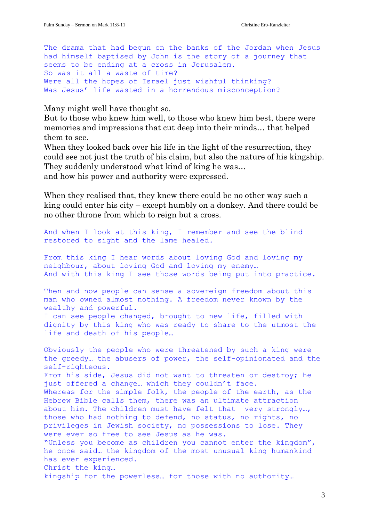The drama that had begun on the banks of the Jordan when Jesus had himself baptised by John is the story of a journey that seems to be ending at a cross in Jerusalem. So was it all a waste of time? Were all the hopes of Israel just wishful thinking? Was Jesus' life wasted in a horrendous misconception?

Many might well have thought so.

But to those who knew him well, to those who knew him best, there were memories and impressions that cut deep into their minds… that helped them to see.

When they looked back over his life in the light of the resurrection, they could see not just the truth of his claim, but also the nature of his kingship. They suddenly understood what kind of king he was…

and how his power and authority were expressed.

When they realised that, they knew there could be no other way such a king could enter his city – except humbly on a donkey. And there could be no other throne from which to reign but a cross.

And when I look at this king, I remember and see the blind restored to sight and the lame healed.

From this king I hear words about loving God and loving my neighbour, about loving God and loving my enemy… And with this king I see those words being put into practice.

Then and now people can sense a sovereign freedom about this man who owned almost nothing. A freedom never known by the wealthy and powerful.

I can see people changed, brought to new life, filled with dignity by this king who was ready to share to the utmost the life and death of his people…

Obviously the people who were threatened by such a king were the greedy… the abusers of power, the self-opinionated and the self-righteous. From his side, Jesus did not want to threaten or destroy; he just offered a change… which they couldn't face. Whereas for the simple folk, the people of the earth, as the Hebrew Bible calls them, there was an ultimate attraction about him. The children must have felt that very strongly…, those who had nothing to defend, no status, no rights, no privileges in Jewish society, no possessions to lose. They were ever so free to see Jesus as he was. "Unless you become as children you cannot enter the kingdom", he once said… the kingdom of the most unusual king humankind has ever experienced. Christ the king… kingship for the powerless… for those with no authority…